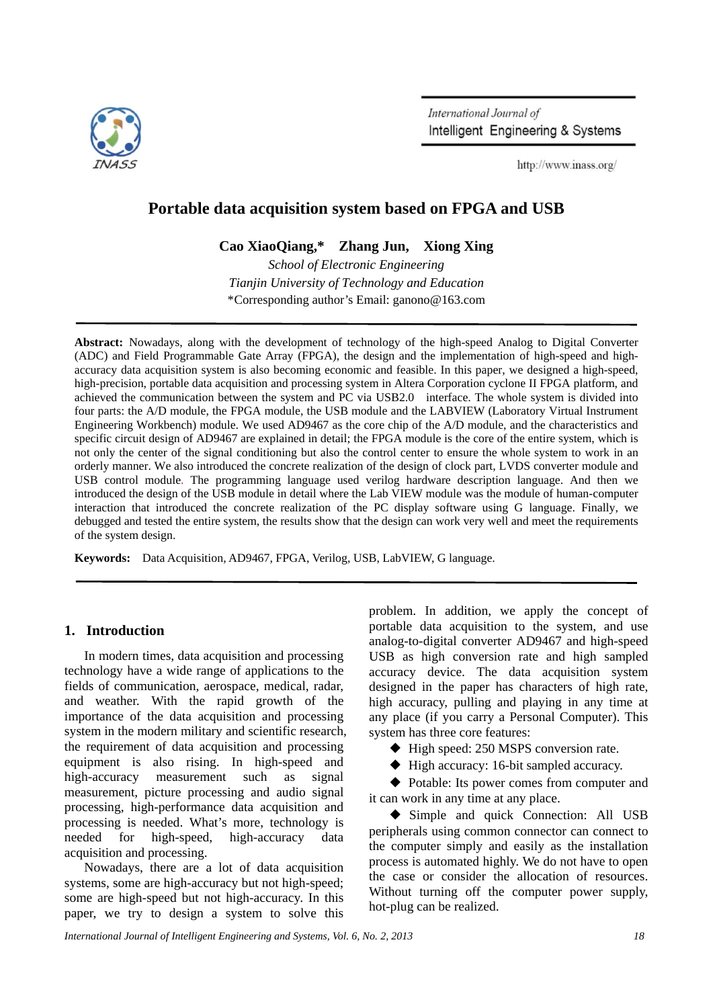

International Journal of Intelligent Engineering & Systems

http://www.inass.org/

# **Portable data acquisition system based on FPGA and USB**

**Cao XiaoQiang,\* Zhang Jun, Xiong Xing**

*School of Electronic Engineering Tianjin University of Technology and Education*  \*Corresponding author's Email: ganono@163.com

**Abstract:** Nowadays, along with the development of technology of the high-speed Analog to Digital Converter (ADC) and Field Programmable Gate Array (FPGA), the design and the implementation of high-speed and highaccuracy data acquisition system is also becoming economic and feasible. In this paper, we designed a high-speed, high-precision, portable data acquisition and processing system in Altera Corporation cyclone II FPGA platform, and achieved the communication between the system and PC via USB2.0 interface. The whole system is divided into four parts: the A/D module, the FPGA module, the USB module and the LABVIEW (Laboratory Virtual Instrument Engineering Workbench) module. We used AD9467 as the core chip of the A/D module, and the characteristics and specific circuit design of AD9467 are explained in detail; the FPGA module is the core of the entire system, which is not only the center of the signal conditioning but also the control center to ensure the whole system to work in an orderly manner. We also introduced the concrete realization of the design of clock part, LVDS converter module and USB control module. The programming language used verilog hardware description language. And then we introduced the design of the USB module in detail where the Lab VIEW module was the module of human-computer interaction that introduced the concrete realization of the PC display software using G language. Finally, we debugged and tested the entire system, the results show that the design can work very well and meet the requirements of the system design.

**Keywords:** Data Acquisition, AD9467, FPGA, Verilog, USB, LabVIEW, G language.

# **1. Introduction**

In modern times, data acquisition and processing technology have a wide range of applications to the fields of communication, aerospace, medical, radar, and weather. With the rapid growth of the importance of the data acquisition and processing system in the modern military and scientific research, the requirement of data acquisition and processing equipment is also rising. In high-speed and high-accuracy measurement such as signal measurement, picture processing and audio signal processing, high-performance data acquisition and processing is needed. What's more, technology is needed for high-speed, high-accuracy data acquisition and processing.

Nowadays, there are a lot of data acquisition systems, some are high-accuracy but not high-speed; some are high-speed but not high-accuracy. In this paper, we try to design a system to solve this problem. In addition, we apply the concept of portable data acquisition to the system, and use analog-to-digital converter AD9467 and high-speed USB as high conversion rate and high sampled accuracy device. The data acquisition system designed in the paper has characters of high rate, high accuracy, pulling and playing in any time at any place (if you carry a Personal Computer). This system has three core features:

- ◆ High speed: 250 MSPS conversion rate.
- ◆ High accuracy: 16-bit sampled accuracy.

◆ Potable: Its power comes from computer and it can work in any time at any place.

◆ Simple and quick Connection: All USB peripherals using common connector can connect to the computer simply and easily as the installation process is automated highly. We do not have to open the case or consider the allocation of resources. Without turning off the computer power supply, hot-plug can be realized.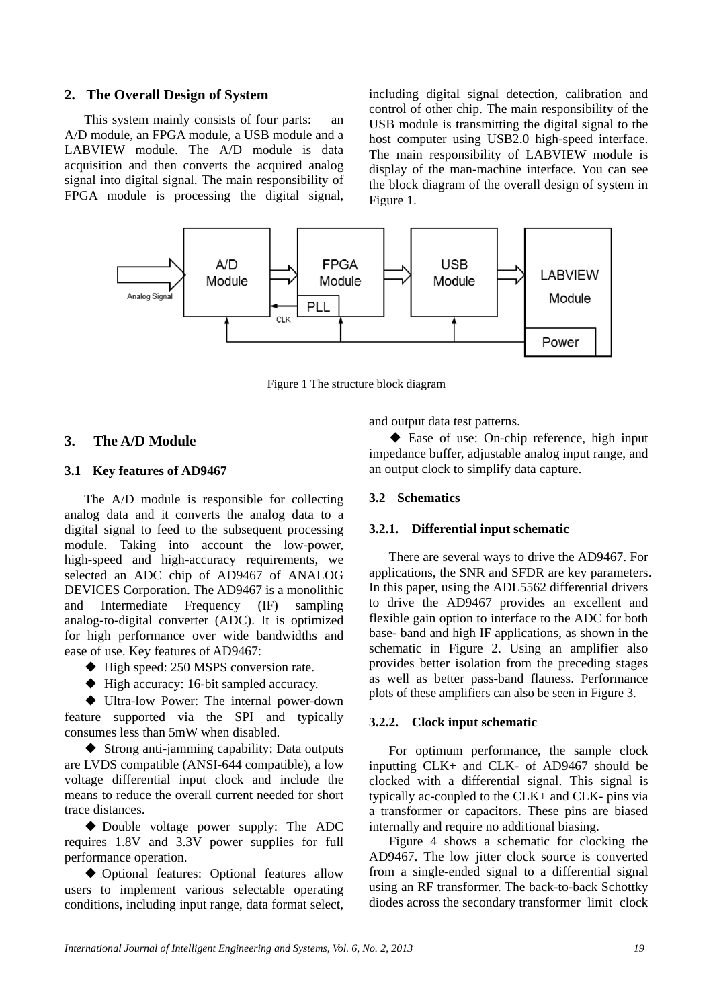# **2. The Overall Design of System**

This system mainly consists of four parts: an A/D module, an FPGA module, a USB module and a LABVIEW module. The A/D module is data acquisition and then converts the acquired analog signal into digital signal. The main responsibility of FPGA module is processing the digital signal, including digital signal detection, calibration and control of other chip. The main responsibility of the USB module is transmitting the digital signal to the host computer using USB2.0 high-speed interface. The main responsibility of LABVIEW module is display of the man-machine interface. You can see the block diagram of the overall design of system in Figure 1.



Figure 1 The structure block diagram

## **3. The A/D Module**

#### **3.1 Key features of AD9467**

The A/D module is responsible for collecting analog data and it converts the analog data to a digital signal to feed to the subsequent processing module. Taking into account the low-power, high-speed and high-accuracy requirements, we selected an ADC chip of AD9467 of ANALOG DEVICES Corporation. The AD9467 is a monolithic and Intermediate Frequency (IF) sampling analog-to-digital converter (ADC). It is optimized for high performance over wide bandwidths and ease of use. Key features of AD9467:

- ◆ High speed: 250 MSPS conversion rate.
- ◆ High accuracy: 16-bit sampled accuracy.

◆ Ultra-low Power: The internal power-down feature supported via the SPI and typically consumes less than 5mW when disabled.

◆ Strong anti-jamming capability: Data outputs are LVDS compatible (ANSI-644 compatible), a low voltage differential input clock and include the means to reduce the overall current needed for short trace distances.

◆ Double voltage power supply: The ADC requires 1.8V and 3.3V power supplies for full performance operation.

◆ Optional features: Optional features allow users to implement various selectable operating conditions, including input range, data format select, and output data test patterns.

◆ Ease of use: On-chip reference, high input impedance buffer, adjustable analog input range, and an output clock to simplify data capture.

## **3.2 Schematics**

#### **3.2.1. Differential input schematic**

There are several ways to drive the AD9467. For applications, the SNR and SFDR are key parameters. In this paper, using the ADL5562 differential drivers to drive the AD9467 provides an excellent and flexible gain option to interface to the ADC for both base- band and high IF applications, as shown in the schematic in Figure 2. Using an amplifier also provides better isolation from the preceding stages as well as better pass-band flatness. Performance plots of these amplifiers can also be seen in Figure 3.

#### **3.2.2. Clock input schematic**

For optimum performance, the sample clock inputting CLK+ and CLK- of AD9467 should be clocked with a differential signal. This signal is typically ac-coupled to the CLK+ and CLK- pins via a transformer or capacitors. These pins are biased internally and require no additional biasing.

Figure 4 shows a schematic for clocking the AD9467. The low jitter clock source is converted from a single-ended signal to a differential signal using an RF transformer. The back-to-back Schottky diodes across the secondary transformer limit clock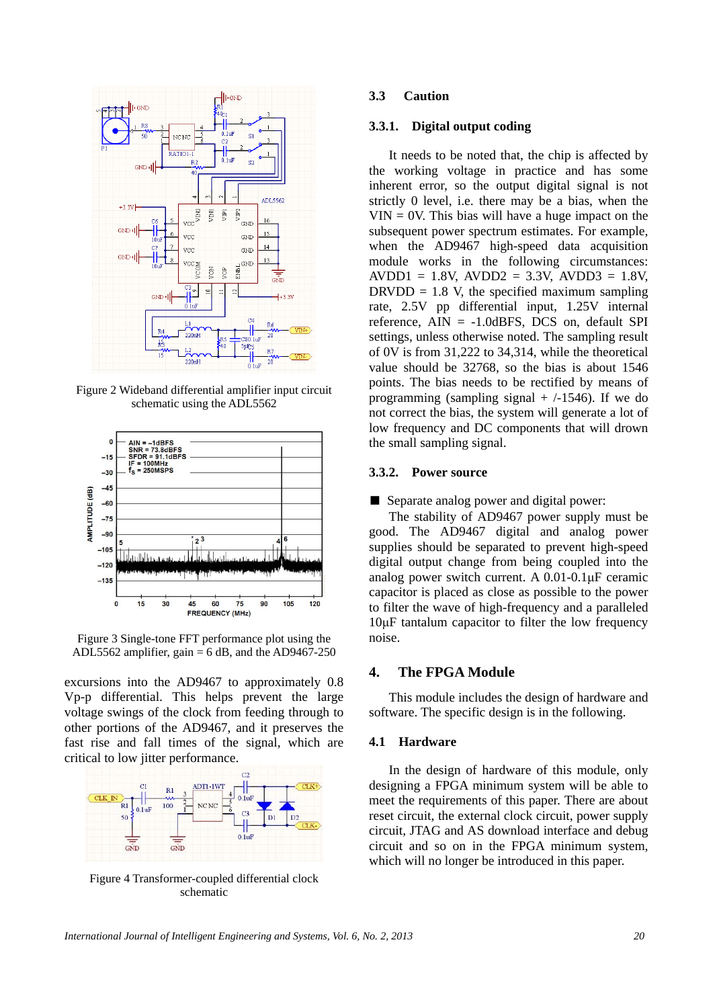

Figure 2 Wideband differential amplifier input circuit schematic using the ADL5562



Figure 3 Single-tone FFT performance plot using the ADL5562 amplifier,  $gain = 6$  dB, and the AD9467-250

excursions into the AD9467 to approximately 0.8 Vp-p differential. This helps prevent the large voltage swings of the clock from feeding through to other portions of the AD9467, and it preserves the fast rise and fall times of the signal, which are critical to low jitter performance.



Figure 4 Transformer-coupled differential clock schematic

#### **3.3 Caution**

#### **3.3.1. Digital output coding**

It needs to be noted that, the chip is affected by the working voltage in practice and has some inherent error, so the output digital signal is not strictly 0 level, i.e. there may be a bias, when the  $VIN = 0V$ . This bias will have a huge impact on the subsequent power spectrum estimates. For example, when the AD9467 high-speed data acquisition module works in the following circumstances:  $AVDD1 = 1.8V$ ,  $AVDD2 = 3.3V$ ,  $AVDD3 = 1.8V$ ,  $DRVDD = 1.8$  V, the specified maximum sampling rate, 2.5V pp differential input, 1.25V internal reference,  $\text{AIN} = -1.0 \text{dBFS}$ , DCS on, default SPI settings, unless otherwise noted. The sampling result of 0V is from 31,222 to 34,314, while the theoretical value should be 32768, so the bias is about 1546 points. The bias needs to be rectified by means of programming (sampling signal  $+$  /-1546). If we do not correct the bias, the system will generate a lot of low frequency and DC components that will drown the small sampling signal.

#### **3.3.2. Power source**

■ Separate analog power and digital power:

The stability of AD9467 power supply must be good. The AD9467 digital and analog power supplies should be separated to prevent high-speed digital output change from being coupled into the analog power switch current. A 0.01-0.1μF ceramic capacitor is placed as close as possible to the power to filter the wave of high-frequency and a paralleled 10μF tantalum capacitor to filter the low frequency noise.

#### **4. The FPGA Module**

This module includes the design of hardware and software. The specific design is in the following.

#### **4.1 Hardware**

In the design of hardware of this module, only designing a FPGA minimum system will be able to meet the requirements of this paper. There are about reset circuit, the external clock circuit, power supply circuit, JTAG and AS download interface and debug circuit and so on in the FPGA minimum system, which will no longer be introduced in this paper.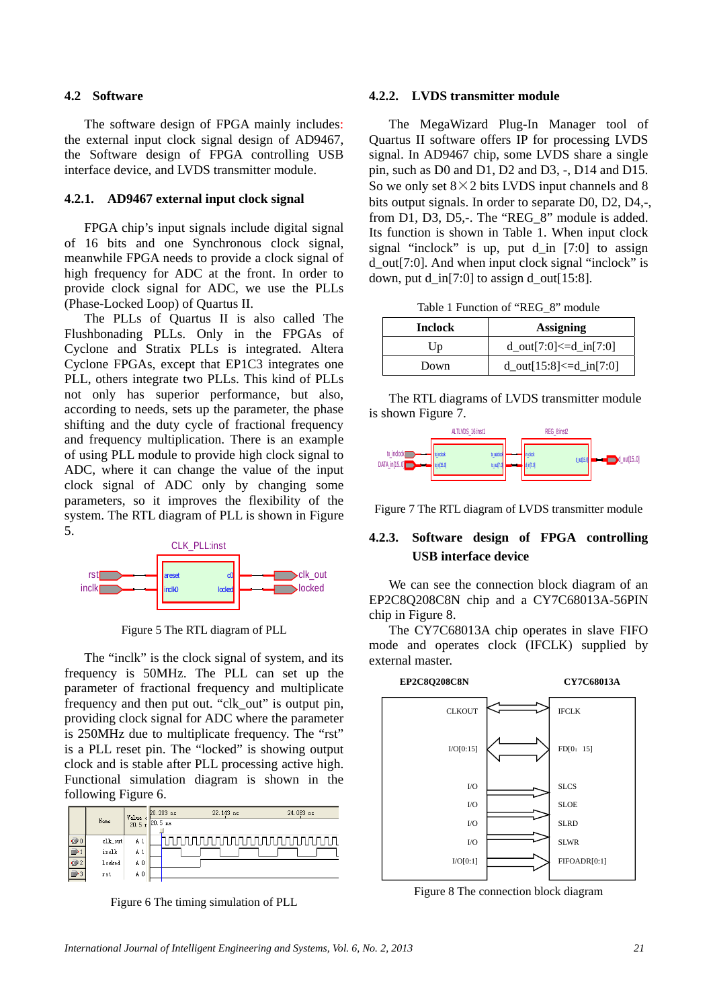### **4.2 Software**

The software design of FPGA mainly includes: the external input clock signal design of AD9467, the Software design of FPGA controlling USB interface device, and LVDS transmitter module.

#### **4.2.1. AD9467 external input clock signal**

FPGA chip's input signals include digital signal of 16 bits and one Synchronous clock signal, meanwhile FPGA needs to provide a clock signal of high frequency for ADC at the front. In order to provide clock signal for ADC, we use the PLLs (Phase-Locked Loop) of Quartus II.

The PLLs of Quartus II is also called The Flushbonading PLLs. Only in the FPGAs of Cyclone and Stratix PLLs is integrated. Altera Cyclone FPGAs, except that EP1C3 integrates one PLL, others integrate two PLLs. This kind of PLLs not only has superior performance, but also, according to needs, sets up the parameter, the phase shifting and the duty cycle of fractional frequency and frequency multiplication. There is an example of using PLL module to provide high clock signal to ADC, where it can change the value of the input clock signal of ADC only by changing some parameters, so it improves the flexibility of the system. The RTL diagram of PLL is shown in Figure 5.



Figure 5 The RTL diagram of PLL

The "inclk" is the clock signal of system, and its frequency is 50MHz. The PLL can set up the parameter of fractional frequency and multiplicate frequency and then put out. "clk\_out" is output pin, providing clock signal for ADC where the parameter is 250MHz due to multiplicate frequency. The "rst" is a PLL reset pin. The "locked" is showing output clock and is stable after PLL processing active high. Functional simulation diagram is shown in the following Figure 6.

|               |         | Value          | 20.203 ns                     | 22.143 ns | 24.083 ns |
|---------------|---------|----------------|-------------------------------|-----------|-----------|
|               | Name    |                | $20.5 \times 20.5 \text{ ns}$ |           |           |
| $\bigcirc$ 0  | clk_out | A <sub>1</sub> |                               |           |           |
|               | inclk   | A 1            |                               |           |           |
| $\mathbf{O}2$ | locked  | A <sub>0</sub> |                               |           |           |
|               | rst     | ΑO             |                               |           |           |

Figure 6 The timing simulation of PLL

#### **4.2.2. LVDS transmitter module**

The MegaWizard Plug-In Manager tool of Quartus II software offers IP for processing LVDS signal. In AD9467 chip, some LVDS share a single pin, such as D0 and D1, D2 and D3, -, D14 and D15. So we only set  $8 \times 2$  bits LVDS input channels and 8 bits output signals. In order to separate D0, D2, D4,-, from  $D1$ ,  $D3$ ,  $D5$ ,-. The "REG  $\overline{8}$ " module is added. Its function is shown in Table 1. When input clock signal "inclock" is up, put  $d$  in [7:0] to assign d\_out[7:0]. And when input clock signal "inclock" is down, put d in[7:0] to assign d out[15:8].

Table 1 Function of "REG\_8" module

| <b>Inclock</b> | <b>Assigning</b>                 |  |
|----------------|----------------------------------|--|
| Up             | $d_{out}[7:0] \le d_{in}[7:0]$   |  |
| Down           | $d_{out}[15:8] \leq d_{in}[7:0]$ |  |

The RTL diagrams of LVDS transmitter module is shown Figure 7.



Figure 7 The RTL diagram of LVDS transmitter module

# **4.2.3. Software design of FPGA controlling USB interface device**

We can see the connection block diagram of an EP2C8Q208C8N chip and a CY7C68013A-56PIN chip in Figure 8.

The CY7C68013A chip operates in slave FIFO mode and operates clock (IFCLK) supplied by external master.



Figure 8 The connection block diagram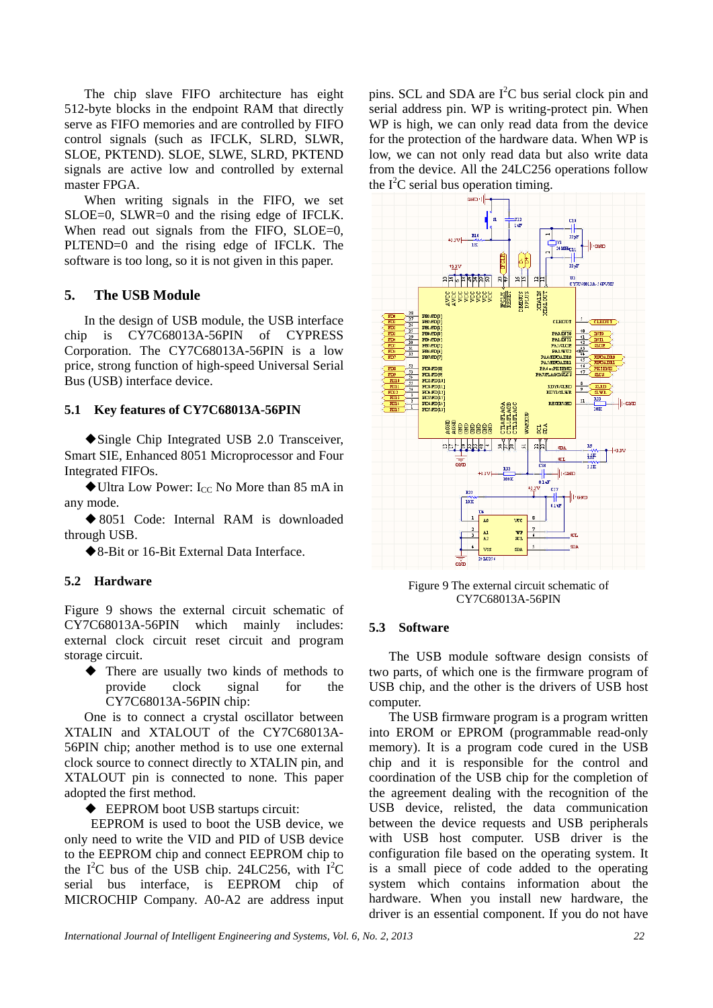The chip slave FIFO architecture has eight 512-byte blocks in the endpoint RAM that directly serve as FIFO memories and are controlled by FIFO control signals (such as IFCLK, SLRD, SLWR, SLOE, PKTEND). SLOE, SLWE, SLRD, PKTEND signals are active low and controlled by external master FPGA.

When writing signals in the FIFO, we set SLOE=0, SLWR=0 and the rising edge of IFCLK. When read out signals from the FIFO, SLOE=0, PLTEND=0 and the rising edge of IFCLK. The software is too long, so it is not given in this paper.

# **5. The USB Module**

In the design of USB module, the USB interface chip is CY7C68013A-56PIN of CYPRESS Corporation. The CY7C68013A-56PIN is a low price, strong function of high-speed Universal Serial Bus (USB) interface device.

#### **5.1 Key features of CY7C68013A-56PIN**

◆Single Chip Integrated USB 2.0 Transceiver, Smart SIE, Enhanced 8051 Microprocessor and Four Integrated FIFOs.

 $\blacklozenge$  Ultra Low Power: I<sub>CC</sub> No More than 85 mA in any mode.

◆8051 Code: Internal RAM is downloaded through USB.

◆8-Bit or 16-Bit External Data Interface.

#### **5.2 Hardware**

Figure 9 shows the external circuit schematic of CY7C68013A-56PIN which mainly includes: external clock circuit reset circuit and program storage circuit.

◆ There are usually two kinds of methods to provide clock signal for the CY7C68013A-56PIN chip:

One is to connect a crystal oscillator between XTALIN and XTALOUT of the CY7C68013A-56PIN chip; another method is to use one external clock source to connect directly to XTALIN pin, and XTALOUT pin is connected to none. This paper adopted the first method.

◆ EEPROM boot USB startups circuit:

 EEPROM is used to boot the USB device, we only need to write the VID and PID of USB device to the EEPROM chip and connect EEPROM chip to the  $I^2C$  bus of the USB chip. 24LC256, with  $I^2C$ serial bus interface, is EEPROM chip of MICROCHIP Company. A0-A2 are address input

pins. SCL and SDA are  $I<sup>2</sup>C$  bus serial clock pin and serial address pin. WP is writing-protect pin. When WP is high, we can only read data from the device for the protection of the hardware data. When WP is low, we can not only read data but also write data from the device. All the 24LC256 operations follow the  $I^2C$  serial bus operation timing.



Figure 9 The external circuit schematic of CY7C68013A-56PIN

#### **5.3 Software**

The USB module software design consists of two parts, of which one is the firmware program of USB chip, and the other is the drivers of USB host computer.

The USB firmware program is a program written into EROM or EPROM (programmable read-only memory). It is a program code cured in the USB chip and it is responsible for the control and coordination of the USB chip for the completion of the agreement dealing with the recognition of the USB device, relisted, the data communication between the device requests and USB peripherals with USB host computer. USB driver is the configuration file based on the operating system. It is a small piece of code added to the operating system which contains information about the hardware. When you install new hardware, the driver is an essential component. If you do not have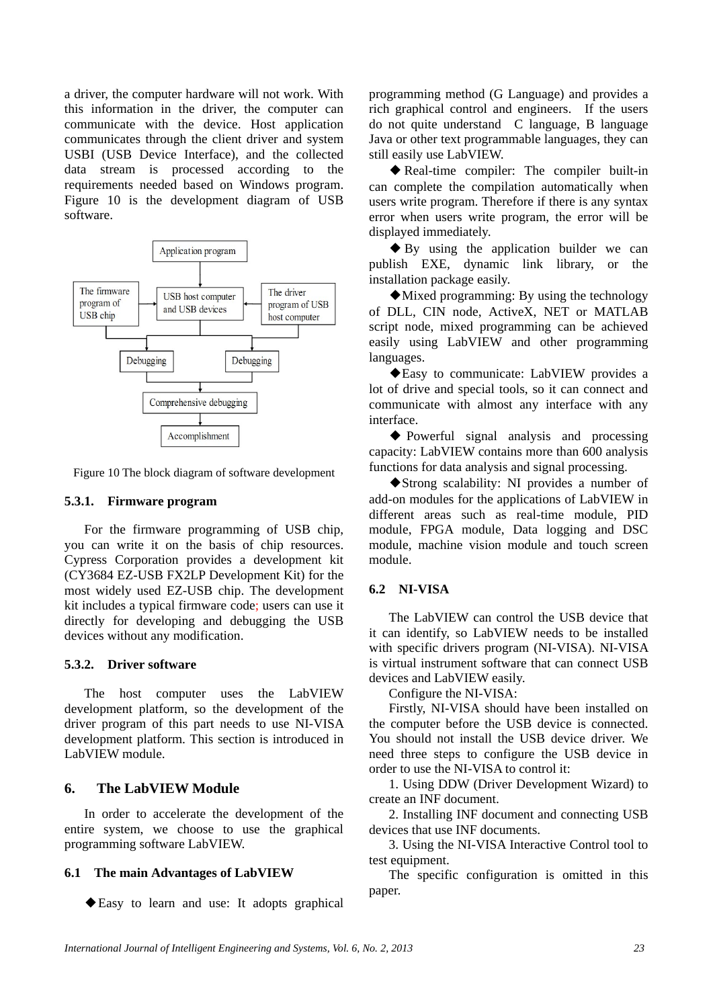a driver, the computer hardware will not work. With this information in the driver, the computer can communicate with the device. Host application communicates through the client driver and system USBI (USB Device Interface), and the collected data stream is processed according to the requirements needed based on Windows program. Figure 10 is the development diagram of USB software.



Figure 10 The block diagram of software development

#### **5.3.1. Firmware program**

For the firmware programming of USB chip, you can write it on the basis of chip resources. Cypress Corporation provides a development kit (CY3684 EZ-USB FX2LP Development Kit) for the most widely used EZ-USB chip. The development kit includes a typical firmware code; users can use it directly for developing and debugging the USB devices without any modification.

#### **5.3.2. Driver software**

The host computer uses the LabVIEW development platform, so the development of the driver program of this part needs to use NI-VISA development platform. This section is introduced in LabVIEW module.

### **6. The LabVIEW Module**

In order to accelerate the development of the entire system, we choose to use the graphical programming software LabVIEW.

#### **6.1 The main Advantages of LabVIEW**

◆Easy to learn and use: It adopts graphical

programming method (G Language) and provides a rich graphical control and engineers. If the users do not quite understand C language, B language Java or other text programmable languages, they can still easily use LabVIEW.

◆ Real-time compiler: The compiler built-in can complete the compilation automatically when users write program. Therefore if there is any syntax error when users write program, the error will be displayed immediately.

◆ By using the application builder we can publish EXE, dynamic link library, or the installation package easily.

◆Mixed programming: By using the technology of DLL, CIN node, ActiveX, NET or MATLAB script node, mixed programming can be achieved easily using LabVIEW and other programming languages.

◆Easy to communicate: LabVIEW provides a lot of drive and special tools, so it can connect and communicate with almost any interface with any interface.

◆ Powerful signal analysis and processing capacity: LabVIEW contains more than 600 analysis functions for data analysis and signal processing.

◆ Strong scalability: NI provides a number of add-on modules for the applications of LabVIEW in different areas such as real-time module, PID module, FPGA module, Data logging and DSC module, machine vision module and touch screen module.

# **6.2 NI-VISA**

The LabVIEW can control the USB device that it can identify, so LabVIEW needs to be installed with specific drivers program (NI-VISA). NI-VISA is virtual instrument software that can connect USB devices and LabVIEW easily.

Configure the NI-VISA:

Firstly, NI-VISA should have been installed on the computer before the USB device is connected. You should not install the USB device driver. We need three steps to configure the USB device in order to use the NI-VISA to control it:

1. Using DDW (Driver Development Wizard) to create an INF document.

2. Installing INF document and connecting USB devices that use INF documents.

3. Using the NI-VISA Interactive Control tool to test equipment.

The specific configuration is omitted in this paper.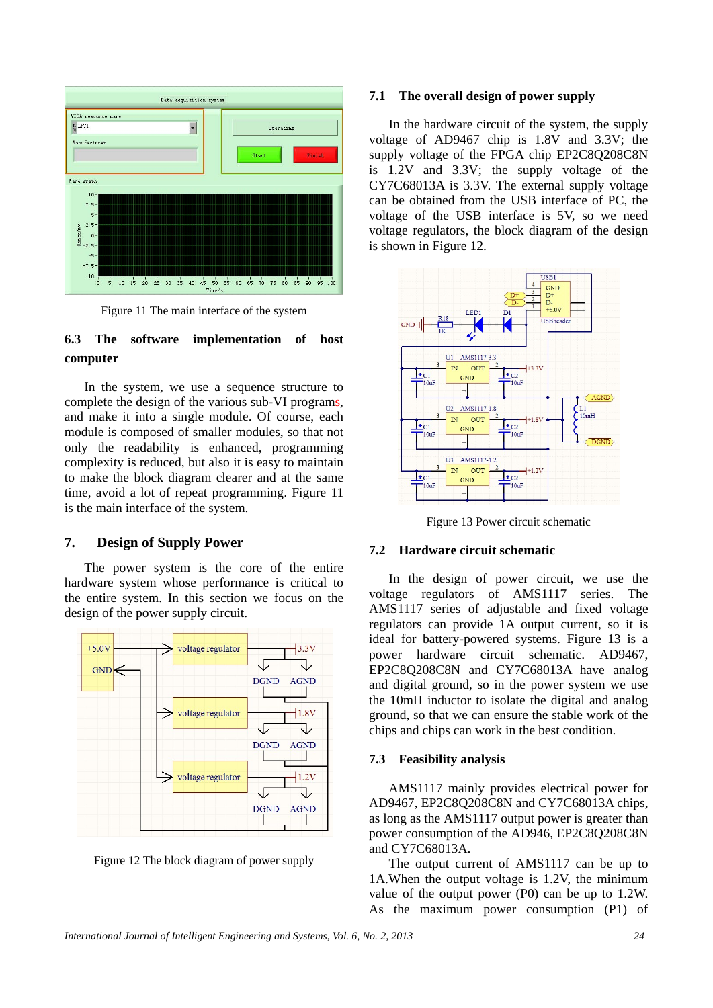

Figure 11 The main interface of the system

# **6.3 The software implementation of host computer**

In the system, we use a sequence structure to complete the design of the various sub-VI programs, and make it into a single module. Of course, each module is composed of smaller modules, so that not only the readability is enhanced, programming complexity is reduced, but also it is easy to maintain to make the block diagram clearer and at the same time, avoid a lot of repeat programming. Figure 11 is the main interface of the system.

# **7. Design of Supply Power**

The power system is the core of the entire hardware system whose performance is critical to the entire system. In this section we focus on the design of the power supply circuit.



Figure 12 The block diagram of power supply

#### **7.1 The overall design of power supply**

In the hardware circuit of the system, the supply voltage of AD9467 chip is 1.8V and 3.3V; the supply voltage of the FPGA chip EP2C8O208C8N is 1.2V and 3.3V; the supply voltage of the CY7C68013A is 3.3V. The external supply voltage can be obtained from the USB interface of PC, the voltage of the USB interface is 5V, so we need voltage regulators, the block diagram of the design is shown in Figure 12.



Figure 13 Power circuit schematic

#### **7.2 Hardware circuit schematic**

In the design of power circuit, we use the voltage regulators of AMS1117 series. The AMS1117 series of adjustable and fixed voltage regulators can provide 1A output current, so it is ideal for battery-powered systems. Figure 13 is a power hardware circuit schematic. AD9467, EP2C8Q208C8N and CY7C68013A have analog and digital ground, so in the power system we use the 10mH inductor to isolate the digital and analog ground, so that we can ensure the stable work of the chips and chips can work in the best condition.

#### **7.3 Feasibility analysis**

AMS1117 mainly provides electrical power for AD9467, EP2C8Q208C8N and CY7C68013A chips, as long as the AMS1117 output power is greater than power consumption of the AD946, EP2C8Q208C8N and CY7C68013A.

The output current of AMS1117 can be up to 1A.When the output voltage is 1.2V, the minimum value of the output power (P0) can be up to 1.2W. As the maximum power consumption (P1) of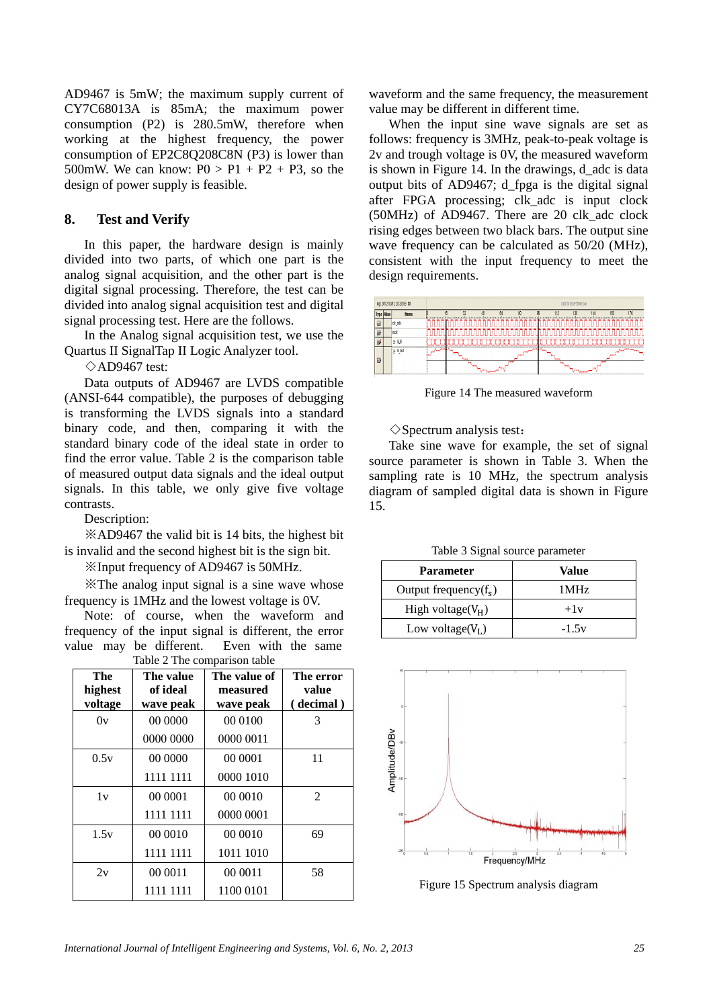AD9467 is 5mW; the maximum supply current of CY7C68013A is 85mA; the maximum power consumption (P2) is 280.5mW, therefore when working at the highest frequency, the power consumption of EP2C8Q208C8N (P3) is lower than 500mW. We can know:  $P0 > P1 + P2 + P3$ , so the design of power supply is feasible.

### **8. Test and Verify**

In this paper, the hardware design is mainly divided into two parts, of which one part is the analog signal acquisition, and the other part is the digital signal processing. Therefore, the test can be divided into analog signal acquisition test and digital signal processing test. Here are the follows.

In the Analog signal acquisition test, we use the Quartus II SignalTap II Logic Analyzer tool.

 $\Diamond$ AD9467 test:

Data outputs of AD9467 are LVDS compatible (ANSI-644 compatible), the purposes of debugging is transforming the LVDS signals into a standard binary code, and then, comparing it with the standard binary code of the ideal state in order to find the error value. Table 2 is the comparison table of measured output data signals and the ideal output signals. In this table, we only give five voltage contrasts.

Description:

※AD9467 the valid bit is 14 bits, the highest bit is invalid and the second highest bit is the sign bit.

※Input frequency of AD9467 is 50MHz.

※The analog input signal is a sine wave whose frequency is 1MHz and the lowest voltage is 0V.

Note: of course, when the waveform and frequency of the input signal is different, the error value may be different. Even with the same Table 2 The comparison table

| The<br>highest<br>voltage | The value<br>of ideal<br>wave peak | The value of<br>measured<br>wave peak | The error<br>value<br>(decimal) |
|---------------------------|------------------------------------|---------------------------------------|---------------------------------|
| 0v                        | 00 0000                            | 00 0100                               | 3                               |
|                           | 0000 0000                          | 0000 0011                             |                                 |
| 0.5v                      | 00 0000                            | 00 0001                               | 11                              |
|                           | 1111 1111                          | 0000 1010                             |                                 |
| 1v                        | 00 0001                            | 00 0010                               | 2                               |
|                           | 1111 1111                          | 0000 0001                             |                                 |
| 1.5v                      | 00 00 10                           | 00 00 10                              | 69                              |
|                           | 1111 1111                          | 1011 1010                             |                                 |
| 2v                        | 00 0011                            | 00 0011                               | 58                              |
|                           | 1111 1111                          | 1100 0101                             |                                 |

waveform and the same frequency, the measurement value may be different in different time.

When the input sine wave signals are set as follows: frequency is 3MHz, peak-to-peak voltage is 2v and trough voltage is 0V, the measured waveform is shown in Figure 14. In the drawings, d\_adc is data output bits of AD9467; d\_fpga is the digital signal after FPGA processing; clk\_adc is input clock (50MHz) of AD9467. There are 20 clk\_adc clock rising edges between two black bars. The output sine wave frequency can be calculated as 50/20 (MHz), consistent with the input frequency to meet the design requirements.



Figure 14 The measured waveform

 $\Diamond$ Spectrum analysis test:

Take sine wave for example, the set of signal source parameter is shown in Table 3. When the sampling rate is 10 MHz, the spectrum analysis diagram of sampled digital data is shown in Figure 15.

Table 3 Signal source parameter

| <b>Parameter</b>         | Value   |  |
|--------------------------|---------|--|
| Output frequency $(f_s)$ | 1 MHz   |  |
| High voltage( $V_H$ )    | $+1v$   |  |
| Low voltage( $V_L$ )     | $-1.5v$ |  |



Figure 15 Spectrum analysis diagram